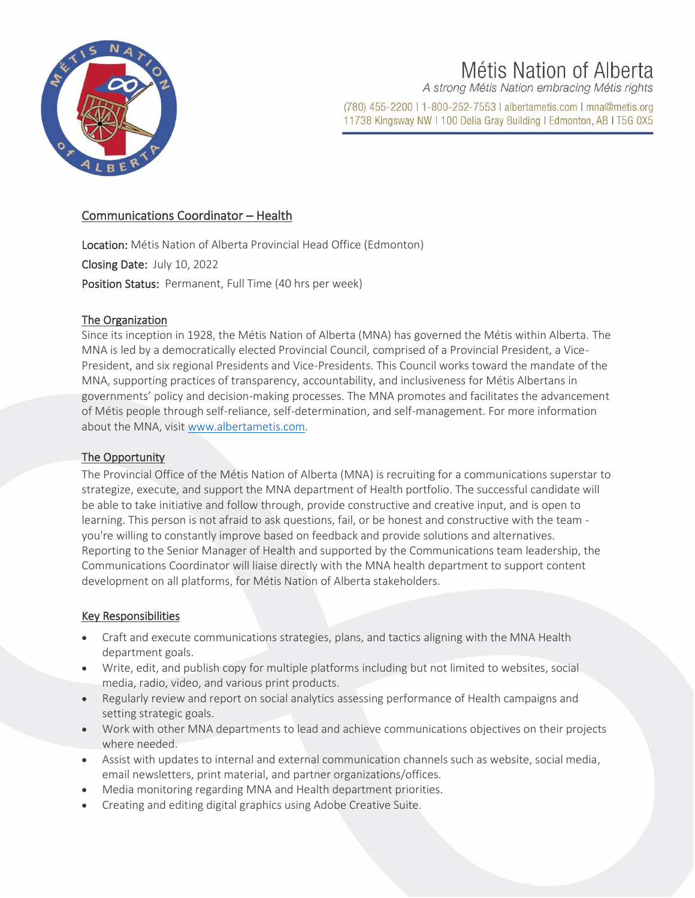

# Métis Nation of Alberta

A strong Métis Nation embracing Métis rights

(780) 455-2200 | 1-800-252-7553 | albertametis.com | mna@metis.org 11738 Kingsway NW | 100 Delia Gray Building | Edmonton, AB | T5G 0X5

# Communications Coordinator – Health

Location: Métis Nation of Alberta Provincial Head Office (Edmonton) Closing Date: July 10, 2022 Position Status: Permanent, Full Time (40 hrs per week)

## The Organization

Since its inception in 1928, the Métis Nation of Alberta (MNA) has governed the Métis within Alberta. The MNA is led by a democratically elected Provincial Council, comprised of a Provincial President, a Vice-President, and six regional Presidents and Vice-Presidents. This Council works toward the mandate of the MNA, supporting practices of transparency, accountability, and inclusiveness for Métis Albertans in governments' policy and decision-making processes. The MNA promotes and facilitates the advancement of Métis people through self-reliance, self-determination, and self-management. For more information about the MNA, visi[t www.albertametis.com.](http://www.albertametis.com/)

## The Opportunity

The Provincial Office of the Métis Nation of Alberta (MNA) is recruiting for a communications superstar to strategize, execute, and support the MNA department of Health portfolio. The successful candidate will be able to take initiative and follow through, provide constructive and creative input, and is open to learning. This person is not afraid to ask questions, fail, or be honest and constructive with the team you're willing to constantly improve based on feedback and provide solutions and alternatives. Reporting to the Senior Manager of Health and supported by the Communications team leadership, the Communications Coordinator will liaise directly with the MNA health department to support content development on all platforms, for Métis Nation of Alberta stakeholders.

#### Key Responsibilities

- Craft and execute communications strategies, plans, and tactics aligning with the MNA Health department goals.
- Write, edit, and publish copy for multiple platforms including but not limited to websites, social media, radio, video, and various print products.
- Regularly review and report on social analytics assessing performance of Health campaigns and setting strategic goals.
- Work with other MNA departments to lead and achieve communications objectives on their projects where needed.
- Assist with updates to internal and external communication channels such as website, social media, email newsletters, print material, and partner organizations/offices.
- Media monitoring regarding MNA and Health department priorities.
- Creating and editing digital graphics using Adobe Creative Suite.